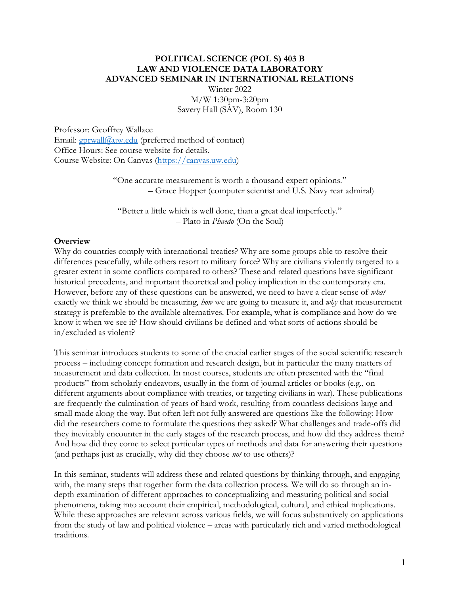#### **POLITICAL SCIENCE (POL S) 403 B LAW AND VIOLENCE DATA LABORATORY ADVANCED SEMINAR IN INTERNATIONAL RELATIONS**

Winter 2022 M/W 1:30pm-3:20pm Savery Hall (SAV), Room 130

Professor: Geoffrey Wallace Email: [gprwall@uw.edu](mailto:gprwall@uw.edu) (preferred method of contact) Office Hours: See course website for details. Course Website: On Canvas [\(https://canvas.uw.edu\)](https://canvas.uw.edu/)

> "One accurate measurement is worth a thousand expert opinions." – Grace Hopper (computer scientist and U.S. Navy rear admiral)

"Better a little which is well done, than a great deal imperfectly." – Plato in *Phaedo* (On the Soul)

#### **Overview**

Why do countries comply with international treaties? Why are some groups able to resolve their differences peacefully, while others resort to military force? Why are civilians violently targeted to a greater extent in some conflicts compared to others? These and related questions have significant historical precedents, and important theoretical and policy implication in the contemporary era. However, before any of these questions can be answered, we need to have a clear sense of *what* exactly we think we should be measuring, *how* we are going to measure it, and *why* that measurement strategy is preferable to the available alternatives. For example, what is compliance and how do we know it when we see it? How should civilians be defined and what sorts of actions should be in/excluded as violent?

This seminar introduces students to some of the crucial earlier stages of the social scientific research process – including concept formation and research design, but in particular the many matters of measurement and data collection. In most courses, students are often presented with the "final products" from scholarly endeavors, usually in the form of journal articles or books (e.g., on different arguments about compliance with treaties, or targeting civilians in war). These publications are frequently the culmination of years of hard work, resulting from countless decisions large and small made along the way. But often left not fully answered are questions like the following: How did the researchers come to formulate the questions they asked? What challenges and trade-offs did they inevitably encounter in the early stages of the research process, and how did they address them? And how did they come to select particular types of methods and data for answering their questions (and perhaps just as crucially, why did they choose *not* to use others)?

In this seminar, students will address these and related questions by thinking through, and engaging with, the many steps that together form the data collection process. We will do so through an indepth examination of different approaches to conceptualizing and measuring political and social phenomena, taking into account their empirical, methodological, cultural, and ethical implications. While these approaches are relevant across various fields, we will focus substantively on applications from the study of law and political violence – areas with particularly rich and varied methodological traditions.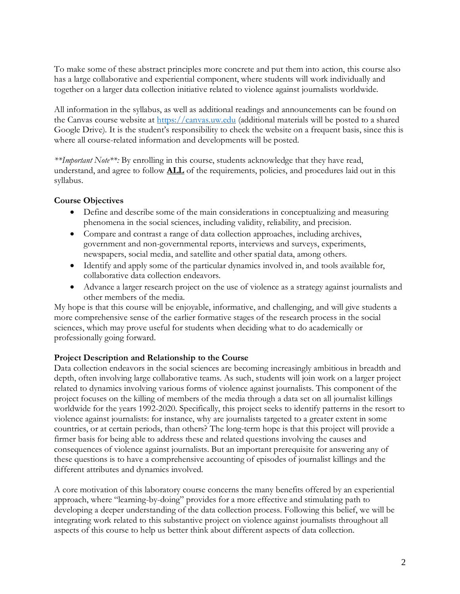To make some of these abstract principles more concrete and put them into action, this course also has a large collaborative and experiential component, where students will work individually and together on a larger data collection initiative related to violence against journalists worldwide.

All information in the syllabus, as well as additional readings and announcements can be found on the Canvas course website at [https://canvas.uw.edu](https://canvas.uw.edu/) (additional materials will be posted to a shared Google Drive). It is the student's responsibility to check the website on a frequent basis, since this is where all course-related information and developments will be posted.

*\*\*Important Note\*\*:* By enrolling in this course, students acknowledge that they have read, understand, and agree to follow **ALL** of the requirements, policies, and procedures laid out in this syllabus.

## **Course Objectives**

- Define and describe some of the main considerations in conceptualizing and measuring phenomena in the social sciences, including validity, reliability, and precision.
- Compare and contrast a range of data collection approaches, including archives, government and non-governmental reports, interviews and surveys, experiments, newspapers, social media, and satellite and other spatial data, among others.
- Identify and apply some of the particular dynamics involved in, and tools available for, collaborative data collection endeavors.
- Advance a larger research project on the use of violence as a strategy against journalists and other members of the media.

My hope is that this course will be enjoyable, informative, and challenging, and will give students a more comprehensive sense of the earlier formative stages of the research process in the social sciences, which may prove useful for students when deciding what to do academically or professionally going forward.

#### **Project Description and Relationship to the Course**

Data collection endeavors in the social sciences are becoming increasingly ambitious in breadth and depth, often involving large collaborative teams. As such, students will join work on a larger project related to dynamics involving various forms of violence against journalists. This component of the project focuses on the killing of members of the media through a data set on all journalist killings worldwide for the years 1992-2020. Specifically, this project seeks to identify patterns in the resort to violence against journalists: for instance, why are journalists targeted to a greater extent in some countries, or at certain periods, than others? The long-term hope is that this project will provide a firmer basis for being able to address these and related questions involving the causes and consequences of violence against journalists. But an important prerequisite for answering any of these questions is to have a comprehensive accounting of episodes of journalist killings and the different attributes and dynamics involved.

A core motivation of this laboratory course concerns the many benefits offered by an experiential approach, where "learning-by-doing" provides for a more effective and stimulating path to developing a deeper understanding of the data collection process. Following this belief, we will be integrating work related to this substantive project on violence against journalists throughout all aspects of this course to help us better think about different aspects of data collection.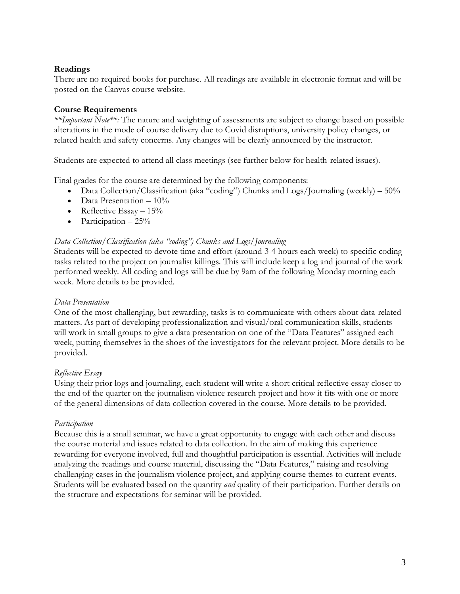#### **Readings**

There are no required books for purchase. All readings are available in electronic format and will be posted on the Canvas course website.

## **Course Requirements**

*\*\*Important Note\*\*:* The nature and weighting of assessments are subject to change based on possible alterations in the mode of course delivery due to Covid disruptions, university policy changes, or related health and safety concerns. Any changes will be clearly announced by the instructor.

Students are expected to attend all class meetings (see further below for health-related issues).

Final grades for the course are determined by the following components:

- Data Collection/Classification (aka "coding") Chunks and Logs/Journaling (weekly)  $50\%$
- Data Presentation  $-10\%$
- Reflective Essay  $-15%$
- Participation  $-25%$

#### *Data Collection/Classification (aka "coding") Chunks and Logs/Journaling*

Students will be expected to devote time and effort (around 3-4 hours each week) to specific coding tasks related to the project on journalist killings. This will include keep a log and journal of the work performed weekly. All coding and logs will be due by 9am of the following Monday morning each week. More details to be provided.

#### *Data Presentation*

One of the most challenging, but rewarding, tasks is to communicate with others about data-related matters. As part of developing professionalization and visual/oral communication skills, students will work in small groups to give a data presentation on one of the "Data Features" assigned each week, putting themselves in the shoes of the investigators for the relevant project. More details to be provided.

## *Reflective Essay*

Using their prior logs and journaling, each student will write a short critical reflective essay closer to the end of the quarter on the journalism violence research project and how it fits with one or more of the general dimensions of data collection covered in the course. More details to be provided.

#### *Participation*

Because this is a small seminar, we have a great opportunity to engage with each other and discuss the course material and issues related to data collection. In the aim of making this experience rewarding for everyone involved, full and thoughtful participation is essential. Activities will include analyzing the readings and course material, discussing the "Data Features," raising and resolving challenging cases in the journalism violence project, and applying course themes to current events. Students will be evaluated based on the quantity *and* quality of their participation. Further details on the structure and expectations for seminar will be provided.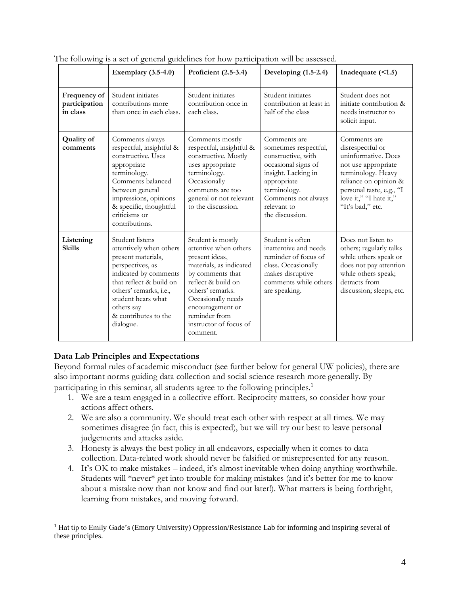|                                           | Exemplary $(3.5-4.0)$                                                                                                                                                                                                                       | Proficient (2.5-3.4)                                                                                                                                                                                                                                   | Developing (1.5-2.4)                                                                                                                                                                              | Inadequate $($ <1.5 $)$                                                                                                                                                                                 |
|-------------------------------------------|---------------------------------------------------------------------------------------------------------------------------------------------------------------------------------------------------------------------------------------------|--------------------------------------------------------------------------------------------------------------------------------------------------------------------------------------------------------------------------------------------------------|---------------------------------------------------------------------------------------------------------------------------------------------------------------------------------------------------|---------------------------------------------------------------------------------------------------------------------------------------------------------------------------------------------------------|
| Frequency of<br>participation<br>in class | Student initiates<br>contributions more<br>than once in each class.                                                                                                                                                                         | Student initiates<br>contribution once in<br>each class.                                                                                                                                                                                               | Student initiates<br>contribution at least in<br>half of the class                                                                                                                                | Student does not<br>initiate contribution &<br>needs instructor to<br>solicit input.                                                                                                                    |
| <b>Quality of</b><br>comments             | Comments always<br>respectful, insightful &<br>constructive. Uses<br>appropriate<br>terminology.<br>Comments balanced<br>between general<br>impressions, opinions<br>& specific, thoughtful<br>criticisms or<br>contributions.              | Comments mostly<br>respectful, insightful &<br>constructive. Mostly<br>uses appropriate<br>terminology.<br>Occasionally<br>comments are too<br>general or not relevant<br>to the discussion.                                                           | Comments are<br>sometimes respectful,<br>constructive, with<br>occasional signs of<br>insight. Lacking in<br>appropriate<br>terminology.<br>Comments not always<br>relevant to<br>the discussion. | Comments are<br>disrespectful or<br>uninformative. Does<br>not use appropriate<br>terminology. Heavy<br>reliance on opinion &<br>personal taste, e.g., "I<br>love it," "I hate it,"<br>"It's bad," etc. |
| Listening<br><b>Skills</b>                | Student listens<br>attentively when others<br>present materials,<br>perspectives, as<br>indicated by comments<br>that reflect & build on<br>others' remarks, i.e.,<br>student hears what<br>others say<br>& contributes to the<br>dialogue. | Student is mostly<br>attentive when others<br>present ideas,<br>materials, as indicated<br>by comments that<br>reflect & build on<br>others' remarks.<br>Occasionally needs<br>encouragement or<br>reminder from<br>instructor of focus of<br>comment. | Student is often<br>inattentive and needs<br>reminder of focus of<br>class. Occasionally<br>makes disruptive<br>comments while others<br>are speaking.                                            | Does not listen to<br>others; regularly talks<br>while others speak or<br>does not pay attention<br>while others speak;<br>detracts from<br>discussion; sleeps, etc.                                    |

The following is a set of general guidelines for how participation will be assessed.

#### **Data Lab Principles and Expectations**

Beyond formal rules of academic misconduct (see further below for general UW policies), there are also important norms guiding data collection and social science research more generally. By participating in this seminar, all students agree to the following principles.<sup>1</sup>

- 1. We are a team engaged in a collective effort. Reciprocity matters, so consider how your actions affect others.
- 2. We are also a community. We should treat each other with respect at all times. We may sometimes disagree (in fact, this is expected), but we will try our best to leave personal judgements and attacks aside.
- 3. Honesty is always the best policy in all endeavors, especially when it comes to data collection. Data-related work should never be falsified or misrepresented for any reason.
- 4. It's OK to make mistakes indeed, it's almost inevitable when doing anything worthwhile. Students will \*never\* get into trouble for making mistakes (and it's better for me to know about a mistake now than not know and find out later!). What matters is being forthright, learning from mistakes, and moving forward.

<sup>&</sup>lt;sup>1</sup> Hat tip to Emily Gade's (Emory University) Oppression/Resistance Lab for informing and inspiring several of these principles.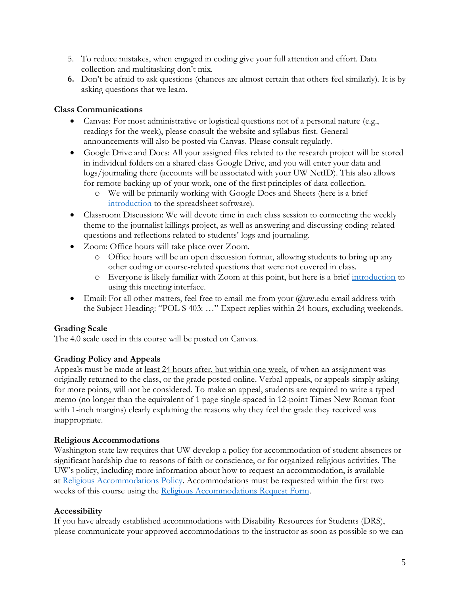- 5. To reduce mistakes, when engaged in coding give your full attention and effort. Data collection and multitasking don't mix.
- **6.** Don't be afraid to ask questions (chances are almost certain that others feel similarly). It is by asking questions that we learn.

## **Class Communications**

- Canvas: For most administrative or logistical questions not of a personal nature (e.g., readings for the week), please consult the website and syllabus first. General announcements will also be posted via Canvas. Please consult regularly.
- Google Drive and Docs: All your assigned files related to the research project will be stored in individual folders on a shared class Google Drive, and you will enter your data and logs/journaling there (accounts will be associated with your UW NetID). This also allows for remote backing up of your work, one of the first principles of data collection.
	- o We will be primarily working with Google Docs and Sheets (here is a brief [introduction](https://www.youtube.com/watch?v=cVLXkMC8-x8) to the spreadsheet software).
- Classroom Discussion: We will devote time in each class session to connecting the weekly theme to the journalist killings project, as well as answering and discussing coding-related questions and reflections related to students' logs and journaling.
- Zoom: Office hours will take place over Zoom.
	- o Office hours will be an open discussion format, allowing students to bring up any other coding or course-related questions that were not covered in class.
	- o Everyone is likely familiar with Zoom at this point, but here is a brief [introduction](https://www.youtube.com/watch?v=QOUwumKCW7M) to using this meeting interface.
- Email: For all other matters, feel free to email me from your  $@$ uw.edu email address with the Subject Heading: "POL S 403: …" Expect replies within 24 hours, excluding weekends.

# **Grading Scale**

The 4.0 scale used in this course will be posted on Canvas.

## **Grading Policy and Appeals**

Appeals must be made at least 24 hours after, but within one week, of when an assignment was originally returned to the class, or the grade posted online. Verbal appeals, or appeals simply asking for more points, will not be considered. To make an appeal, students are required to write a typed memo (no longer than the equivalent of 1 page single-spaced in 12-point Times New Roman font with 1-inch margins) clearly explaining the reasons why they feel the grade they received was inappropriate.

## **Religious Accommodations**

Washington state law requires that UW develop a policy for accommodation of student absences or significant hardship due to reasons of faith or conscience, or for organized religious activities. The UW's policy, including more information about how to request an accommodation, is available at [Religious Accommodations Policy.](https://registrar.washington.edu/staffandfaculty/religious-accommodations-policy/) Accommodations must be requested within the first two weeks of this course using the [Religious Accommodations Request Form.](https://registrar.washington.edu/students/religious-accommodations-request/)

## **Accessibility**

If you have already established accommodations with Disability Resources for Students (DRS), please communicate your approved accommodations to the instructor as soon as possible so we can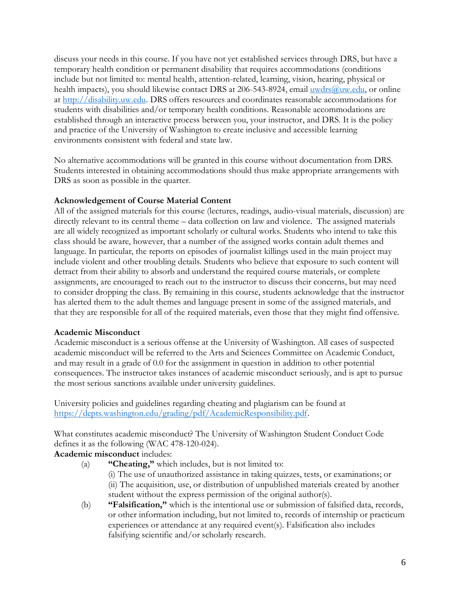discuss your needs in this course. If you have not yet established services through DRS, but have a temporary health condition or permanent disability that requires accommodations (conditions include but not limited to: mental health, attention-related, learning, vision, hearing, physical or health impacts), you should likewise contact DRS at 206-543-8924, email [uwdrs@uw.edu,](mailto:uwdrs@uw.edu) or online at [http://disability.uw.edu.](http://disability.uw.edu/) DRS offers resources and coordinates reasonable accommodations for students with disabilities and/or temporary health conditions. Reasonable accommodations are established through an interactive process between you, your instructor, and DRS. It is the policy and practice of the University of Washington to create inclusive and accessible learning environments consistent with federal and state law.

No alternative accommodations will be granted in this course without documentation from DRS. Students interested in obtaining accommodations should thus make appropriate arrangements with DRS as soon as possible in the quarter.

#### **Acknowledgement of Course Material Content**

All of the assigned materials for this course (lectures, readings, audio-visual materials, discussion) are directly relevant to its central theme – data collection on law and violence. The assigned materials are all widely recognized as important scholarly or cultural works. Students who intend to take this class should be aware, however, that a number of the assigned works contain adult themes and language. In particular, the reports on episodes of journalist killings used in the main project may include violent and other troubling details. Students who believe that exposure to such content will detract from their ability to absorb and understand the required course materials, or complete assignments, are encouraged to reach out to the instructor to discuss their concerns, but may need to consider dropping the class. By remaining in this course, students acknowledge that the instructor has alerted them to the adult themes and language present in some of the assigned materials, and that they are responsible for all of the required materials, even those that they might find offensive.

#### **Academic Misconduct**

Academic misconduct is a serious offense at the University of Washington. All cases of suspected academic misconduct will be referred to the Arts and Sciences Committee on Academic Conduct, and may result in a grade of 0.0 for the assignment in question in addition to other potential consequences. The instructor takes instances of academic misconduct seriously, and is apt to pursue the most serious sanctions available under university guidelines.

University policies and guidelines regarding cheating and plagiarism can be found at [https://depts.washington.edu/grading/pdf/AcademicResponsibility.pdf.](https://depts.washington.edu/grading/pdf/AcademicResponsibility.pdf)

What constitutes academic misconduct? The University of Washington Student Conduct Code defines it as the following (WAC 478-120-024).

#### **Academic misconduct** includes:

- (a) **"Cheating,"** which includes, but is not limited to:
	- (i) The use of unauthorized assistance in taking quizzes, tests, or examinations; or (ii) The acquisition, use, or distribution of unpublished materials created by another student without the express permission of the original author(s).
- (b) **"Falsification,"** which is the intentional use or submission of falsified data, records, or other information including, but not limited to, records of internship or practicum experiences or attendance at any required event(s). Falsification also includes falsifying scientific and/or scholarly research.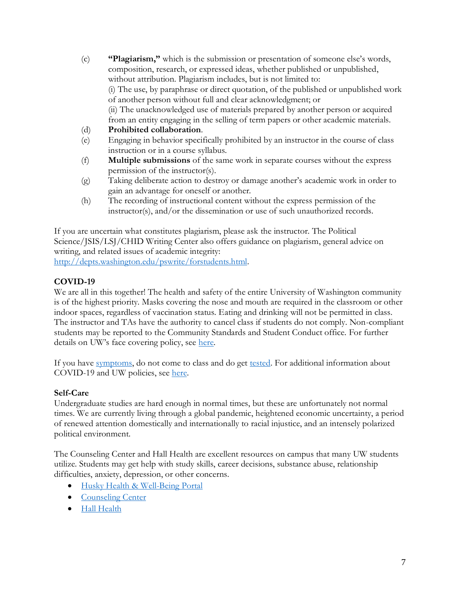(c) **"Plagiarism,"** which is the submission or presentation of someone else's words, composition, research, or expressed ideas, whether published or unpublished, without attribution. Plagiarism includes, but is not limited to: (i) The use, by paraphrase or direct quotation, of the published or unpublished work of another person without full and clear acknowledgment; or (ii) The unacknowledged use of materials prepared by another person or acquired from an entity engaging in the selling of term papers or other academic materials.

## (d) **Prohibited collaboration**.

- (e) Engaging in behavior specifically prohibited by an instructor in the course of class instruction or in a course syllabus.
- (f) **Multiple submissions** of the same work in separate courses without the express permission of the instructor(s).
- (g) Taking deliberate action to destroy or damage another's academic work in order to gain an advantage for oneself or another.
- (h) The recording of instructional content without the express permission of the instructor(s), and/or the dissemination or use of such unauthorized records.

If you are uncertain what constitutes plagiarism, please ask the instructor. The Political Science/JSIS/LSJ/CHID Writing Center also offers guidance on plagiarism, general advice on writing, and related issues of academic integrity:

[http://depts.washington.edu/pswrite/forstudents.html.](http://depts.washington.edu/pswrite/forstudents.html)

# **COVID-19**

We are all in this together! The health and safety of the entire University of Washington community is of the highest priority. Masks covering the nose and mouth are required in the classroom or other indoor spaces, regardless of vaccination status. Eating and drinking will not be permitted in class. The instructor and TAs have the authority to cancel class if students do not comply. Non-compliant students may be reported to the Community Standards and Student Conduct office. For further details on UW's face covering policy, see [here.](https://www.ehs.washington.edu/system/files/resources/COVID-19-face-cover-policy.pdf)

If you have [symptoms,](https://coronavirus.uwhealth.org/symptoms-and-care/) do not come to class and do get [tested.](https://www.washington.edu/coronavirus/testing/) For additional information about COVID-19 and UW policies, see [here.](https://www.washington.edu/coronavirus/student-faq/)

# **Self-Care**

Undergraduate studies are hard enough in normal times, but these are unfortunately not normal times. We are currently living through a global pandemic, heightened economic uncertainty, a period of renewed attention domestically and internationally to racial injustice, and an intensely polarized political environment.

The Counseling Center and Hall Health are excellent resources on campus that many UW students utilize. Students may get help with study skills, career decisions, substance abuse, relationship difficulties, anxiety, depression, or other concerns.

- [Husky Health & Well-Being Portal](https://wellbeing.uw.edu/)
- [Counseling Center](https://www.washington.edu/counseling/)
- [Hall Health](https://wellbeing.uw.edu/unit/hall-health/)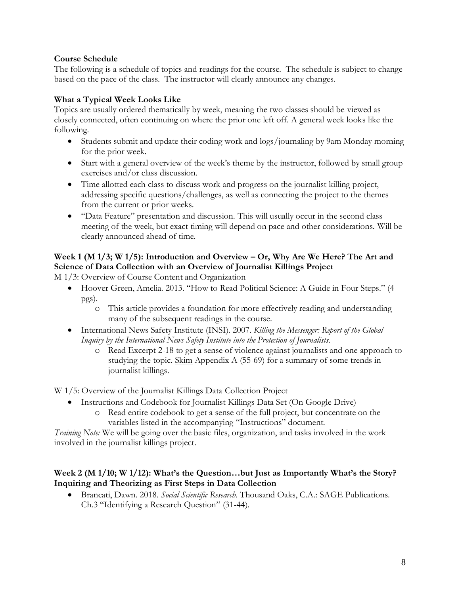## **Course Schedule**

The following is a schedule of topics and readings for the course. The schedule is subject to change based on the pace of the class. The instructor will clearly announce any changes.

## **What a Typical Week Looks Like**

Topics are usually ordered thematically by week, meaning the two classes should be viewed as closely connected, often continuing on where the prior one left off. A general week looks like the following.

- Students submit and update their coding work and logs/journaling by 9am Monday morning for the prior week.
- Start with a general overview of the week's theme by the instructor, followed by small group exercises and/or class discussion.
- Time allotted each class to discuss work and progress on the journalist killing project, addressing specific questions/challenges, as well as connecting the project to the themes from the current or prior weeks.
- "Data Feature" presentation and discussion. This will usually occur in the second class meeting of the week, but exact timing will depend on pace and other considerations. Will be clearly announced ahead of time.

# **Week 1 (M 1/3; W 1/5): Introduction and Overview – Or, Why Are We Here? The Art and Science of Data Collection with an Overview of Journalist Killings Project**

M 1/3: Overview of Course Content and Organization

- Hoover Green, Amelia. 2013. "How to Read Political Science: A Guide in Four Steps." (4 pgs).
	- o This article provides a foundation for more effectively reading and understanding many of the subsequent readings in the course.
- International News Safety Institute (INSI). 2007. *Killing the Messenger: Report of the Global Inquiry by the International News Safety Institute into the Protection of Journalists*.
	- o Read Excerpt 2-18 to get a sense of violence against journalists and one approach to studying the topic. Skim Appendix A (55-69) for a summary of some trends in journalist killings.

W 1/5: Overview of the Journalist Killings Data Collection Project

- Instructions and Codebook for Journalist Killings Data Set (On Google Drive)
	- o Read entire codebook to get a sense of the full project, but concentrate on the variables listed in the accompanying "Instructions" document.

*Training Note:* We will be going over the basic files, organization, and tasks involved in the work involved in the journalist killings project.

## **Week 2 (M 1/10; W 1/12): What's the Question…but Just as Importantly What's the Story? Inquiring and Theorizing as First Steps in Data Collection**

• Brancati, Dawn. 2018. *Social Scientific Research*. Thousand Oaks, C.A.: SAGE Publications. Ch.3 "Identifying a Research Question" (31-44).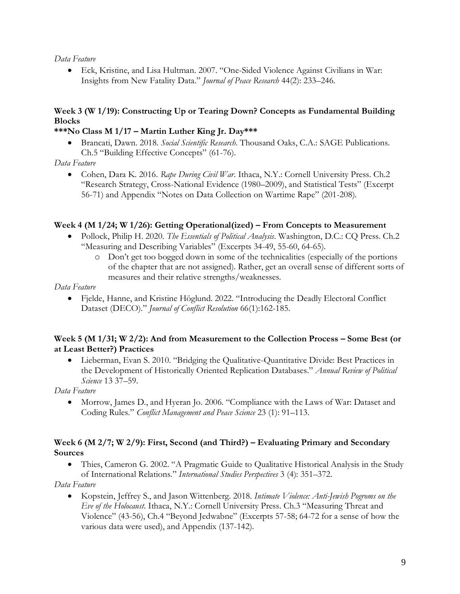#### *Data Feature*

• Eck, Kristine, and Lisa Hultman. 2007. "One-Sided Violence Against Civilians in War: Insights from New Fatality Data." *Journal of Peace Research* 44(2): 233–246.

# **Week 3 (W 1/19): Constructing Up or Tearing Down? Concepts as Fundamental Building Blocks**

## **\*\*\*No Class M 1/17 – Martin Luther King Jr. Day\*\*\***

• Brancati, Dawn. 2018. *Social Scientific Research*. Thousand Oaks, C.A.: SAGE Publications. Ch.5 "Building Effective Concepts" (61-76).

## *Data Feature*

• Cohen, Dara K. 2016. *Rape During Civil War*. Ithaca, N.Y.: Cornell University Press. Ch.2 "Research Strategy, Cross-National Evidence (1980–2009), and Statistical Tests" (Excerpt 56-71) and Appendix "Notes on Data Collection on Wartime Rape" (201-208).

#### **Week 4 (M 1/24; W 1/26): Getting Operational(ized) – From Concepts to Measurement**

- Pollock, Philip H. 2020. *The Essentials of Political Analysis*. Washington, D.C.: CQ Press. Ch.2 "Measuring and Describing Variables" (Excerpts 34-49, 55-60, 64-65).
	- o Don't get too bogged down in some of the technicalities (especially of the portions of the chapter that are not assigned). Rather, get an overall sense of different sorts of measures and their relative strengths/weaknesses.

#### *Data Feature*

• Fjelde, Hanne, and Kristine Höglund. 2022. "Introducing the Deadly Electoral Conflict Dataset (DECO)." *Journal of Conflict Resolution* 66(1):162-185.

## **Week 5 (M 1/31; W 2/2): And from Measurement to the Collection Process – Some Best (or at Least Better?) Practices**

• Lieberman, Evan S. 2010. "Bridging the Qualitative-Quantitative Divide: Best Practices in the Development of Historically Oriented Replication Databases." *Annual Review of Political Science* 13 37–59.

## *Data Feature*

• Morrow, James D., and Hyeran Jo. 2006. "Compliance with the Laws of War: Dataset and Coding Rules." *Conflict Management and Peace Science* 23 (1): 91–113.

#### **Week 6 (M 2/7; W 2/9): First, Second (and Third?) – Evaluating Primary and Secondary Sources**

• Thies, Cameron G. 2002. "A Pragmatic Guide to Qualitative Historical Analysis in the Study of International Relations." *International Studies Perspectives* 3 (4): 351–372.

## *Data Feature*

• Kopstein, Jeffrey S., and Jason Wittenberg. 2018. *Intimate Violence: Anti-Jewish Pogroms on the Eve of the Holocaust*. Ithaca, N.Y.: Cornell University Press. Ch.3 "Measuring Threat and Violence" (43-56), Ch.4 "Beyond Jedwabne" (Excerpts 57-58; 64-72 for a sense of how the various data were used), and Appendix (137-142).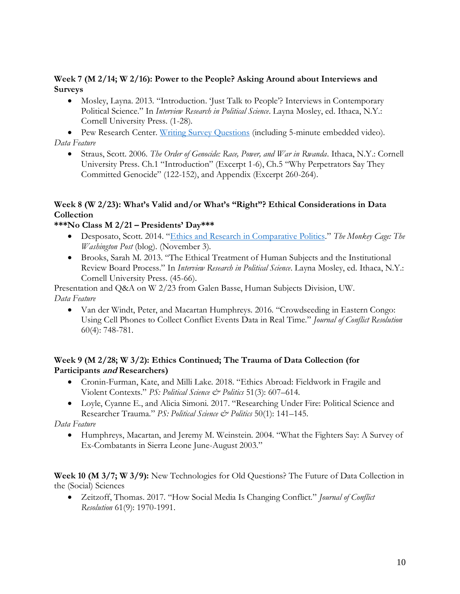#### **Week 7 (M 2/14; W 2/16): Power to the People? Asking Around about Interviews and Surveys**

• Mosley, Layna. 2013. "Introduction. 'Just Talk to People'? Interviews in Contemporary Political Science." In *Interview Research in Political Science*. Layna Mosley, ed. Ithaca, N.Y.: Cornell University Press. (1-28).

• Pew Research Center. [Writing Survey Questions](https://www.pewresearch.org/our-methods/u-s-surveys/writing-survey-questions/) (including 5-minute embedded video). *Data Feature*

• Straus, Scott. 2006. *The Order of Genocide: Race, Power, and War in Rwanda*. Ithaca, N.Y.: Cornell University Press. Ch.1 "Introduction" (Excerpt 1-6), Ch.5 "Why Perpetrators Say They Committed Genocide" (122-152), and Appendix (Excerpt 260-264).

## **Week 8 (W 2/23): What's Valid and/or What's "Right"? Ethical Considerations in Data Collection**

## **\*\*\*No Class M 2/21 – Presidents' Day\*\*\***

- Desposato, Scott. 2014. "[Ethics and Research in Comparative Politics](http://www.washingtonpost.com/blogs/monkey-cage/wp/2014/11/03/ethics-and-research-in-comparative-politics)." *The Monkey Cage: The Washington Post* (blog). (November 3).
- Brooks, Sarah M. 2013. "The Ethical Treatment of Human Subjects and the Institutional Review Board Process." In *Interview Research in Political Science*. Layna Mosley, ed. Ithaca, N.Y.: Cornell University Press. (45-66).

Presentation and Q&A on W 2/23 from Galen Basse, Human Subjects Division, UW. *Data Feature*

• Van der Windt, Peter, and Macartan Humphreys. 2016. "Crowdseeding in Eastern Congo: Using Cell Phones to Collect Conflict Events Data in Real Time." *Journal of Conflict Resolution* 60(4): 748-781.

## **Week 9 (M 2/28; W 3/2): Ethics Continued; The Trauma of Data Collection (for Participants and Researchers)**

- Cronin-Furman, Kate, and Milli Lake. 2018. "Ethics Abroad: Fieldwork in Fragile and Violent Contexts." *PS: Political Science & Politics* 51(3): 607–614.
- Loyle, Cyanne E., and Alicia Simoni. 2017. "Researching Under Fire: Political Science and Researcher Trauma." *PS: Political Science & Politics* 50(1): 141–145.

*Data Feature*

• Humphreys, Macartan, and Jeremy M. Weinstein. 2004. "What the Fighters Say: A Survey of Ex-Combatants in Sierra Leone June-August 2003."

**Week 10 (M 3/7; W 3/9):** New Technologies for Old Questions? The Future of Data Collection in the (Social) Sciences

• Zeitzoff, Thomas. 2017. "How Social Media Is Changing Conflict." *Journal of Conflict Resolution* 61(9): 1970-1991.